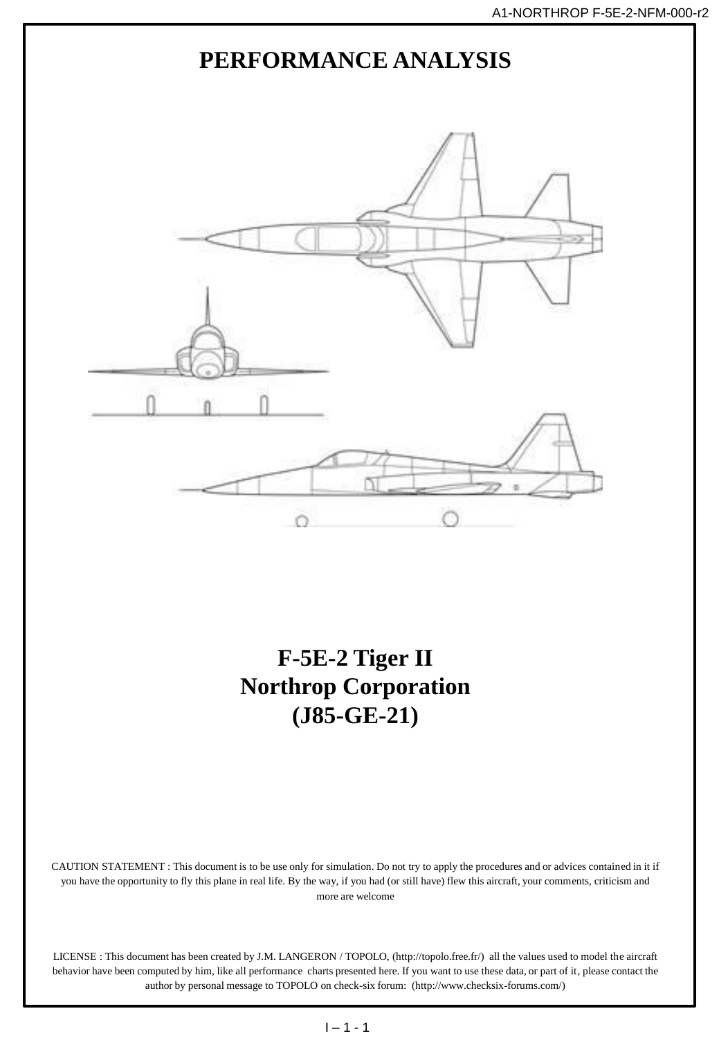

author by personal message to TOPOLO on check-six forum: (http://www.checksix-forums.com/)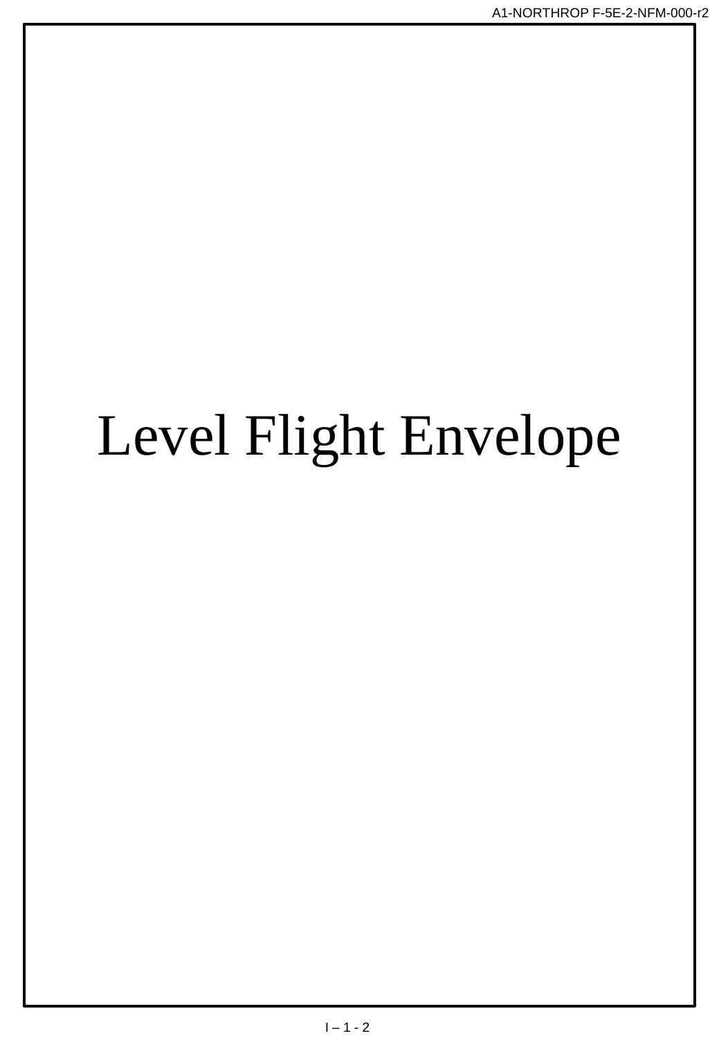# Level Flight Envelope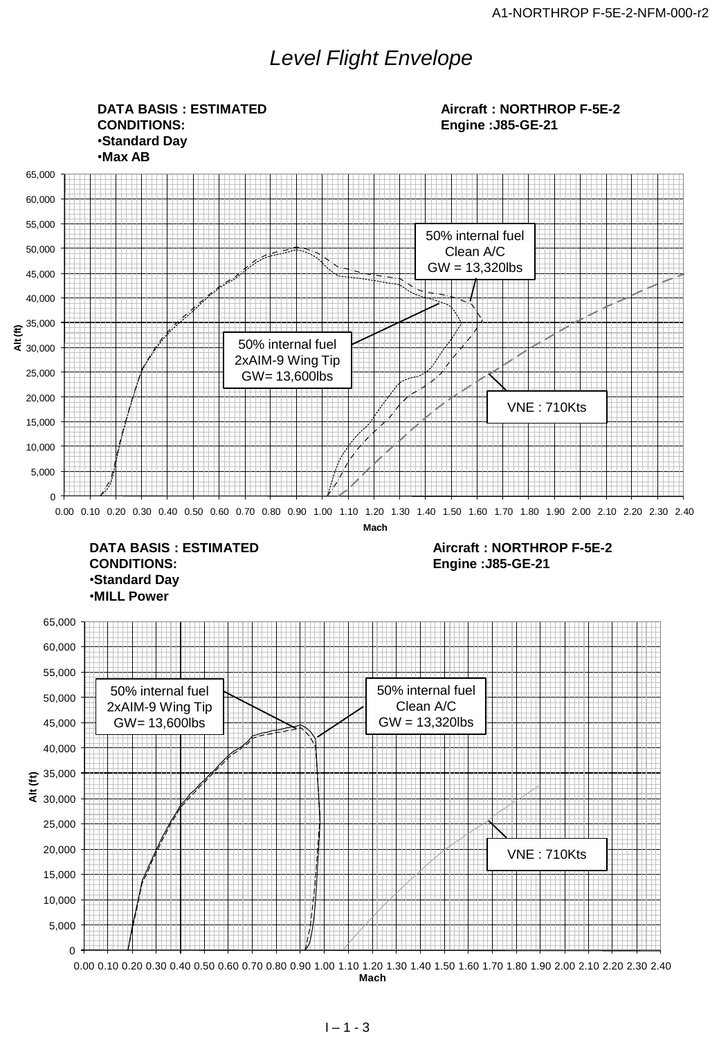## *Level Flight Envelope*



 $1 - 1 - 3$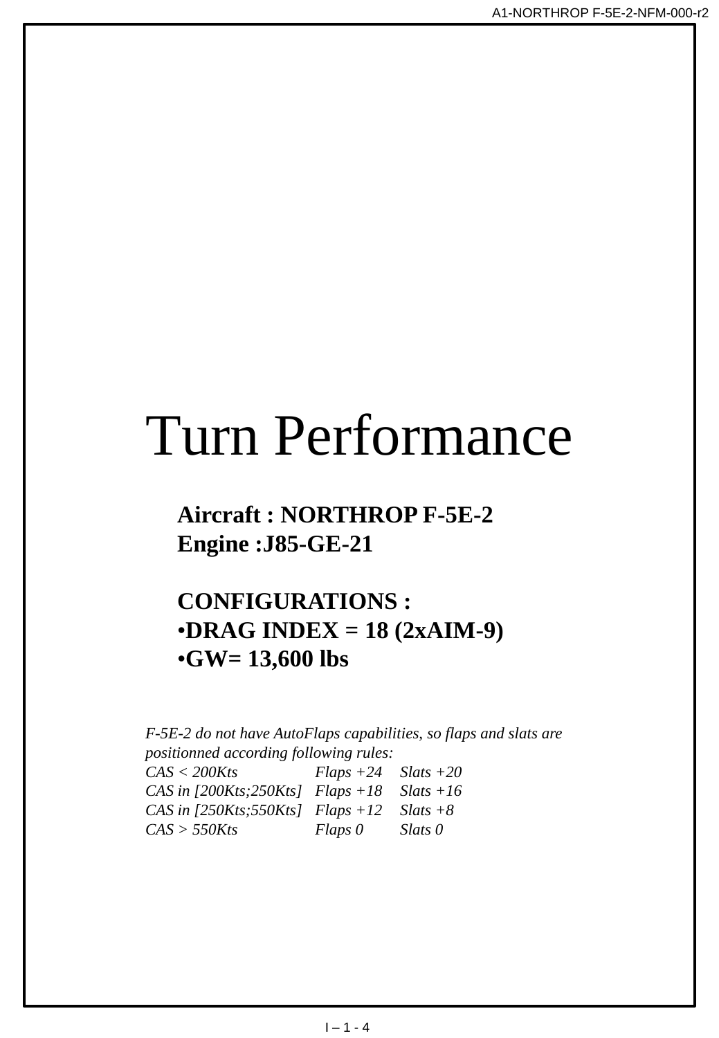## Turn Performance

## **Aircraft : NORTHROP F-5E-2 Engine :J85-GE-21**

## **CONFIGURATIONS :** •**DRAG INDEX = 18 (2xAIM-9)** •**GW= 13,600 lbs**

*F-5E-2 do not have AutoFlaps capabilities, so flaps and slats are positionned according following rules: CAS < 200Kts Flaps +24 Slats +20 CAS in [200Kts;250Kts] Flaps +18 Slats +16 CAS in [250Kts;550Kts] Flaps +12 Slats +8 CAS > 550Kts Flaps 0 Slats 0*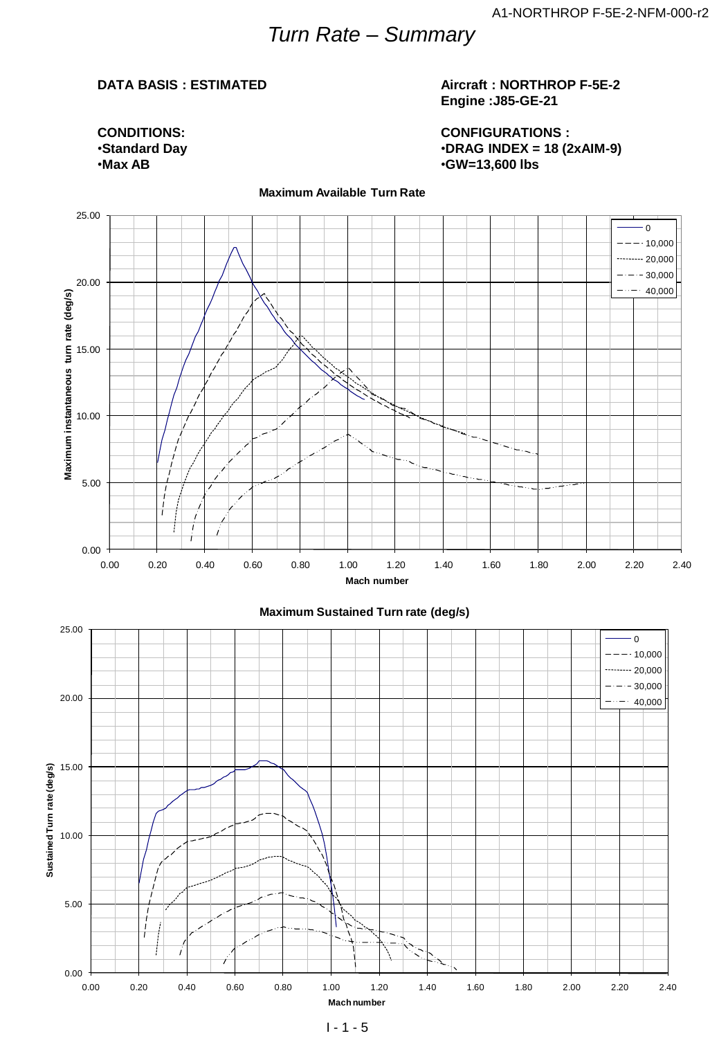## *Turn Rate – Summary*

#### **DATA BASIS : ESTIMATED**

**CONDITIONS:** •**Standard Day** •**Max AB**

#### **Aircraft : NORTHROP F-5E-2 Engine :J85-GE-21**

**CONFIGURATIONS :** •**DRAG INDEX = 18 (2xAIM-9)** •**GW=13,600 lbs**



0.00 5.00 10.00 15.00 20.00 0.00 0.20 0.40 0.60 0.80 1.00 1.20 1.40 1.60 1.80 2.00 2.20 2.40 **Mach number**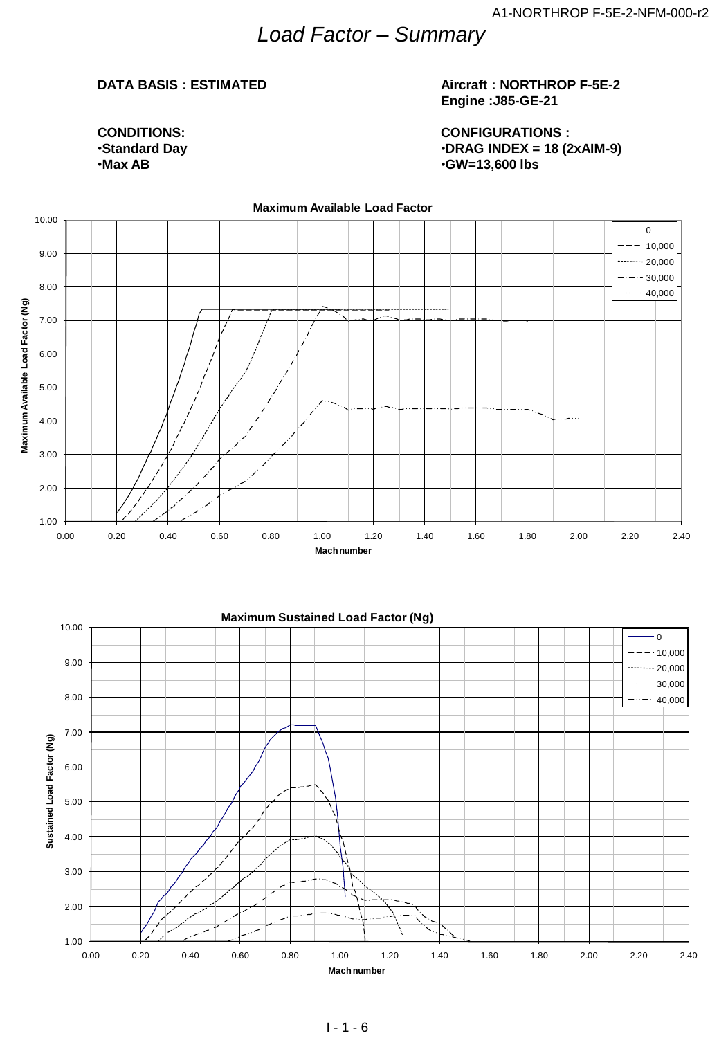## *Load Factor – Summary*

#### **DATA BASIS : ESTIMATED**

#### **Aircraft : NORTHROP F-5E-2 Engine :J85-GE-21**

**CONDITIONS:** •**Standard Day** •**Max AB**

**CONFIGURATIONS :** •**DRAG INDEX = 18 (2xAIM-9)** •**GW=13,600 lbs**



#### $1 - 1 - 6$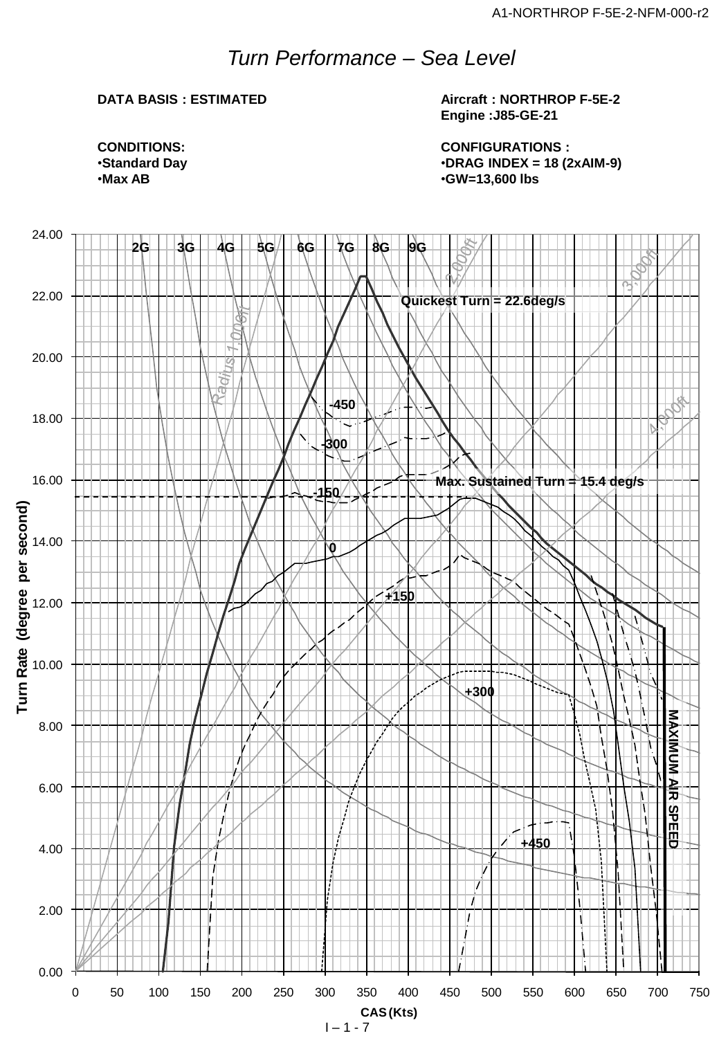## *Turn Performance – Sea Level*

### **DATA BASIS : ESTIMATED**

**Aircraft : NORTHROP F-5E-2 Engine :J85-GE-21**

**CONFIGURATIONS :** •**DRAG INDEX = 18 (2xAIM-9)** •**GW=13,600 lbs**

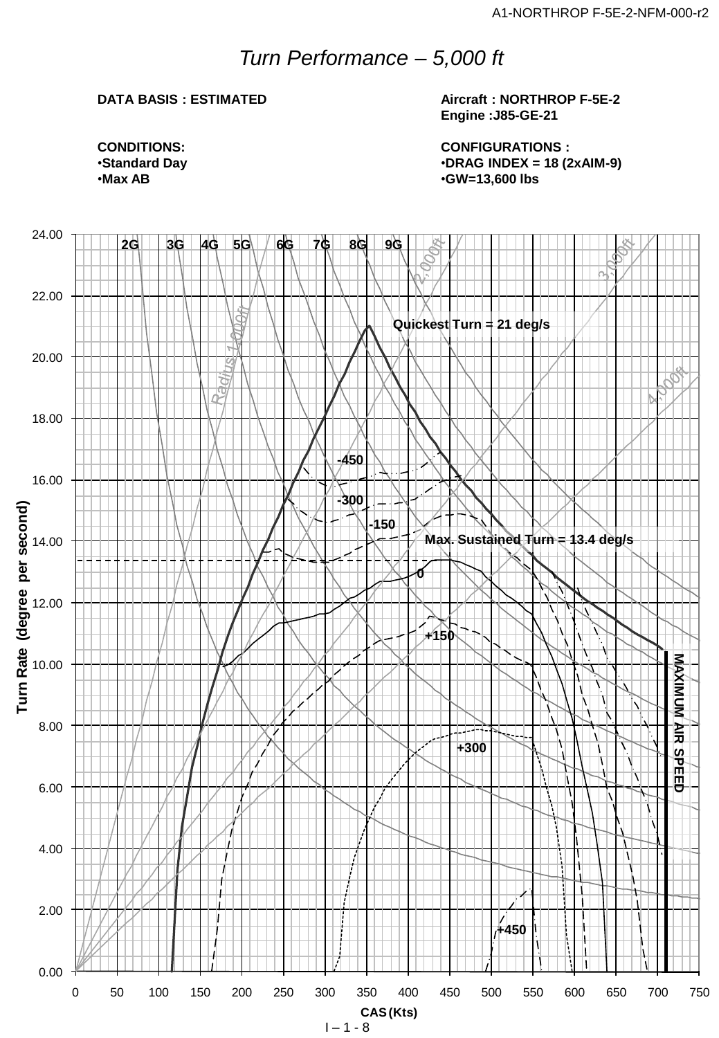## *Turn Performance – 5,000 ft*

#### **DATA BASIS : ESTIMATED**

**Aircraft : NORTHROP F-5E-2 Engine :J85-GE-21**

**CONFIGURATIONS :** •**DRAG INDEX = 18 (2xAIM-9)** •**GW=13,600 lbs**

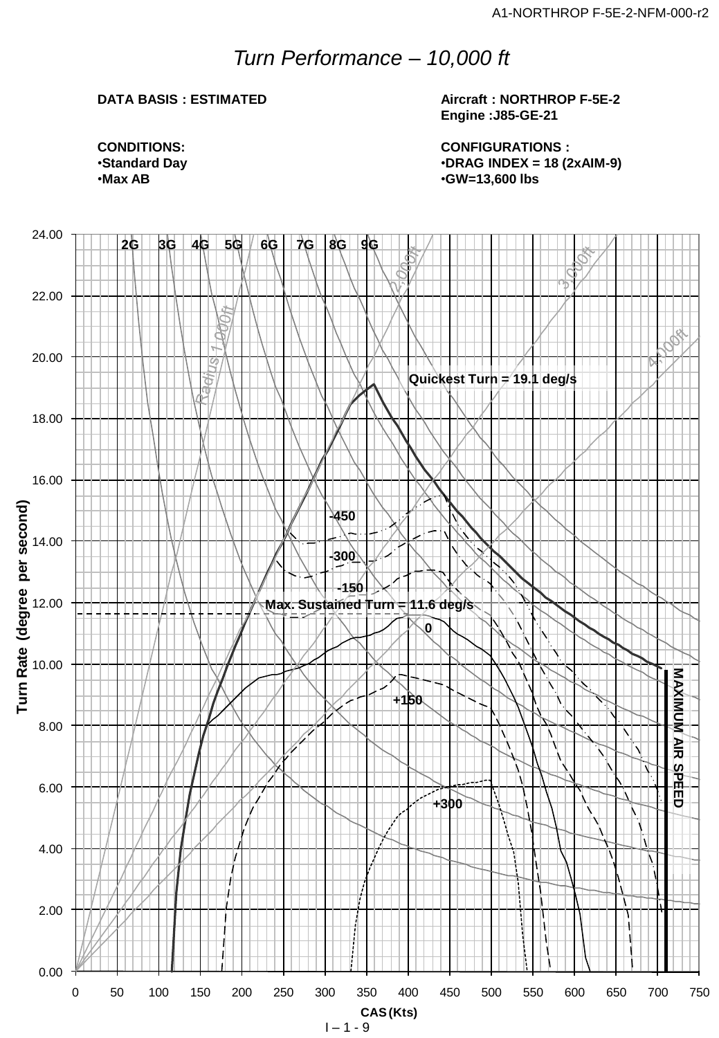## *Turn Performance – 10,000 ft*

### **DATA BASIS : ESTIMATED**

**Aircraft : NORTHROP F-5E-2 Engine :J85-GE-21**

**CONFIGURATIONS :** •**DRAG INDEX = 18 (2xAIM-9)** •**GW=13,600 lbs**

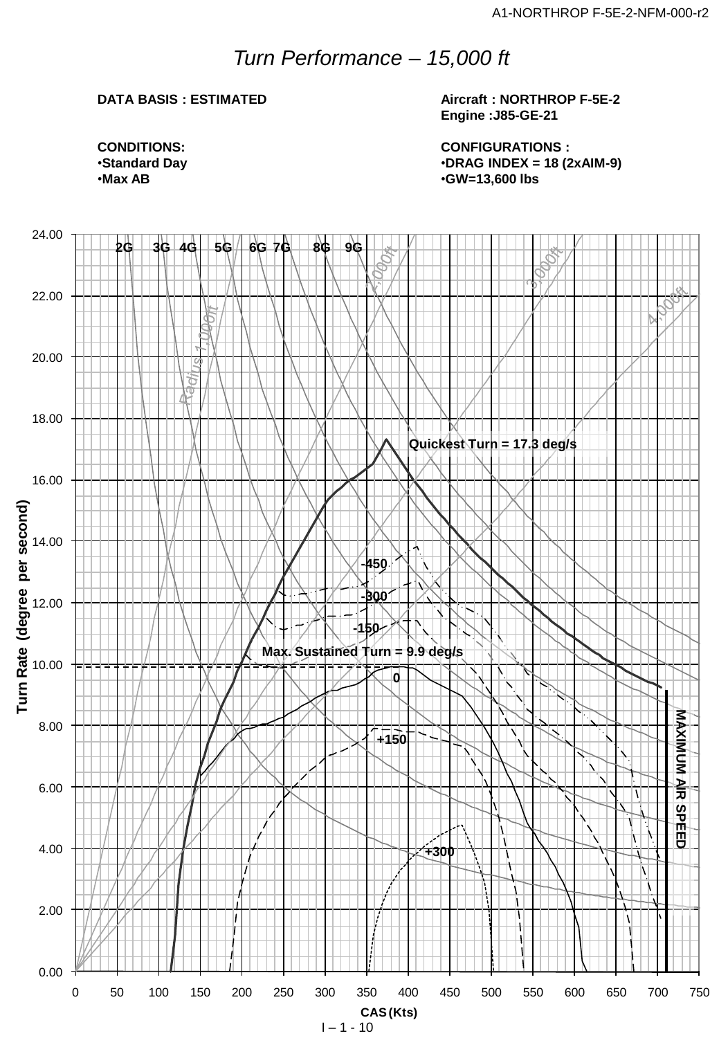## *Turn Performance – 15,000 ft*

### **DATA BASIS : ESTIMATED**

**Aircraft : NORTHROP F-5E-2 Engine :J85-GE-21**

**CONFIGURATIONS :** •**DRAG INDEX = 18 (2xAIM-9)** •**GW=13,600 lbs**

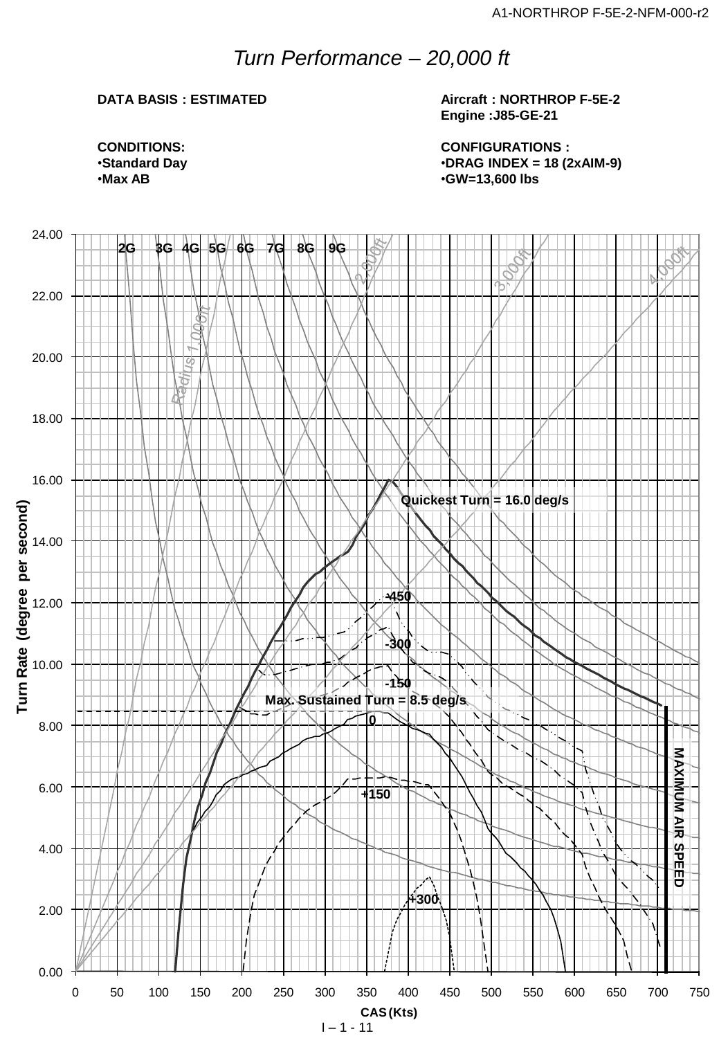## *Turn Performance – 20,000 ft*

### **DATA BASIS : ESTIMATED**

**Aircraft : NORTHROP F-5E-2 Engine :J85-GE-21**

**CONFIGURATIONS :** •**DRAG INDEX = 18 (2xAIM-9)** •**GW=13,600 lbs**

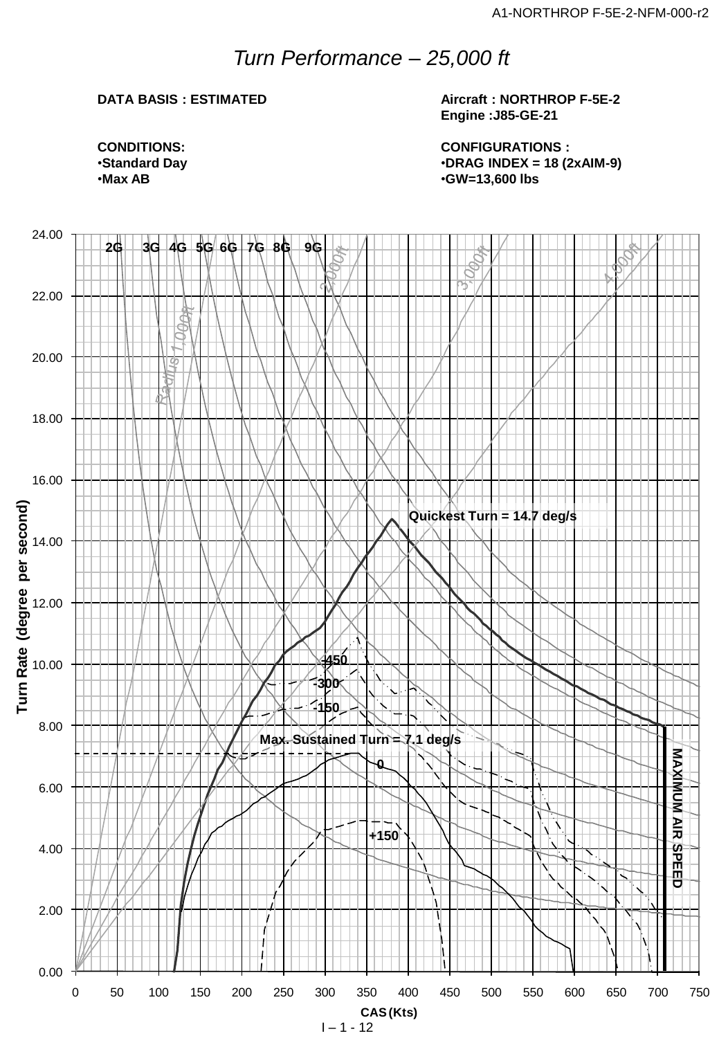## *Turn Performance – 25,000 ft*

### **DATA BASIS : ESTIMATED**

**Aircraft : NORTHROP F-5E-2 Engine :J85-GE-21**

**CONFIGURATIONS :** •**DRAG INDEX = 18 (2xAIM-9)** •**GW=13,600 lbs**

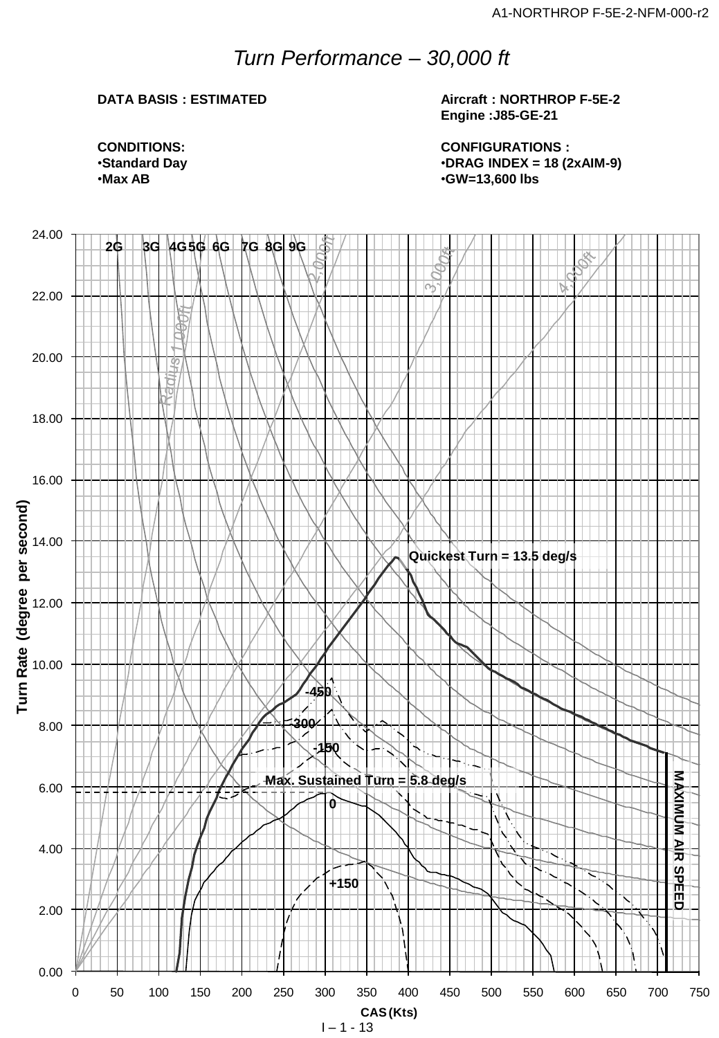## *Turn Performance – 30,000 ft*

### **DATA BASIS : ESTIMATED**

**Aircraft : NORTHROP F-5E-2 Engine :J85-GE-21**

**CONFIGURATIONS :** •**DRAG INDEX = 18 (2xAIM-9)** •**GW=13,600 lbs**

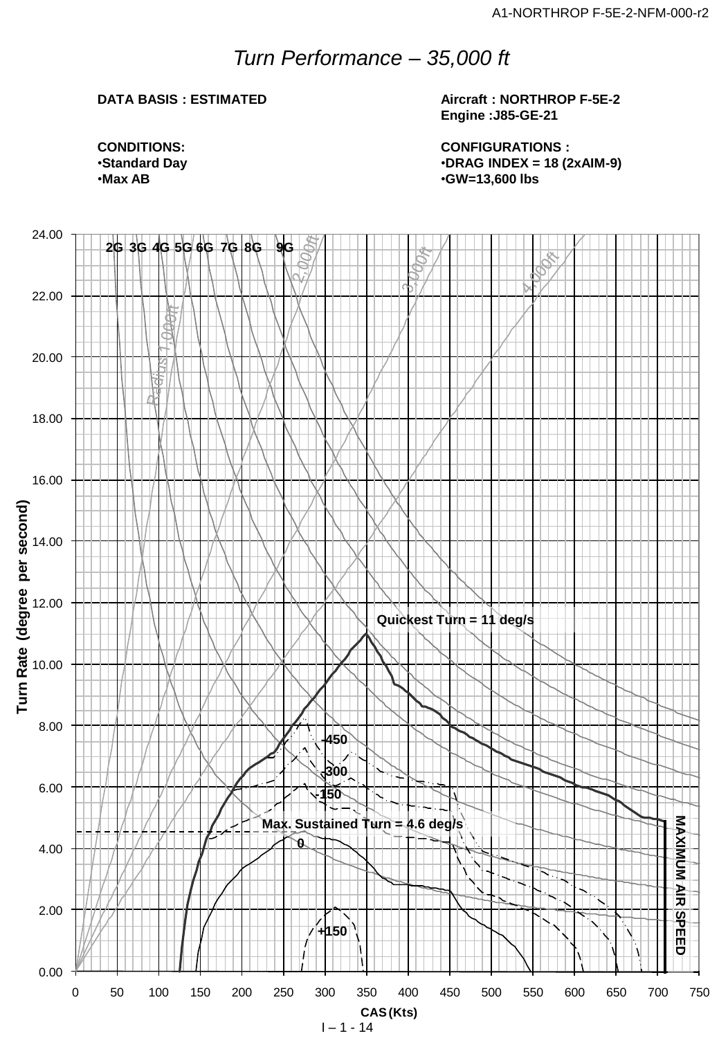## *Turn Performance – 35,000 ft*

### **DATA BASIS : ESTIMATED**

**Aircraft : NORTHROP F-5E-2 Engine :J85-GE-21**

**CONDITIONS:** •**Standard Day** •**Max AB**

**CONFIGURATIONS :** •**DRAG INDEX = 18 (2xAIM-9)** •**GW=13,600 lbs**



 $1 - 1 - 14$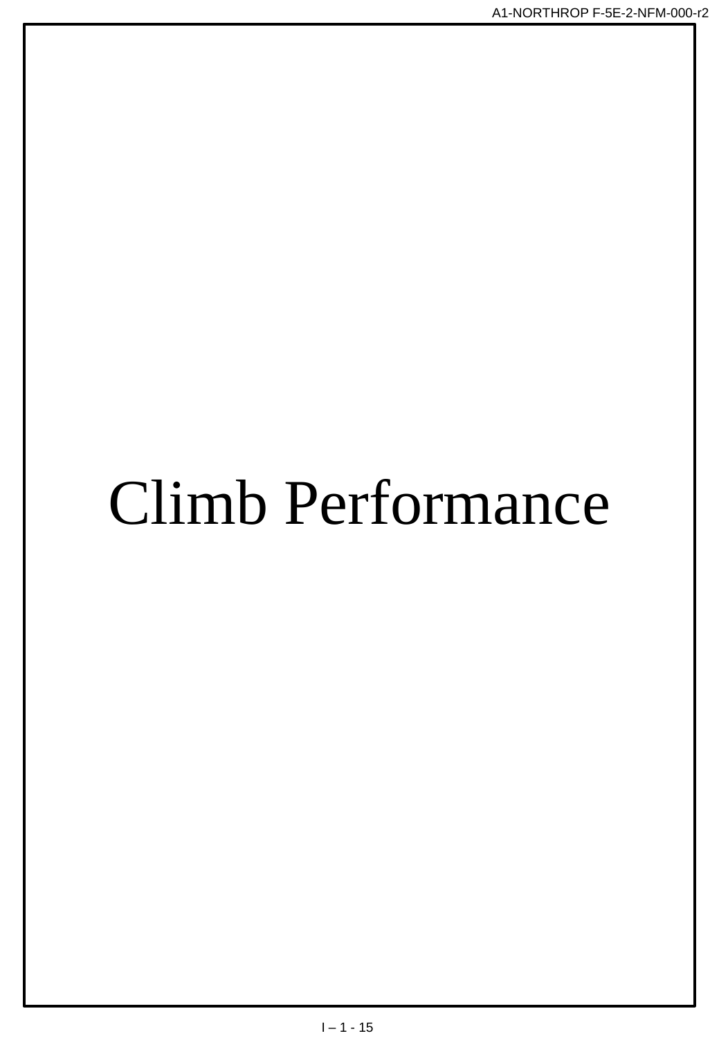# Climb Performance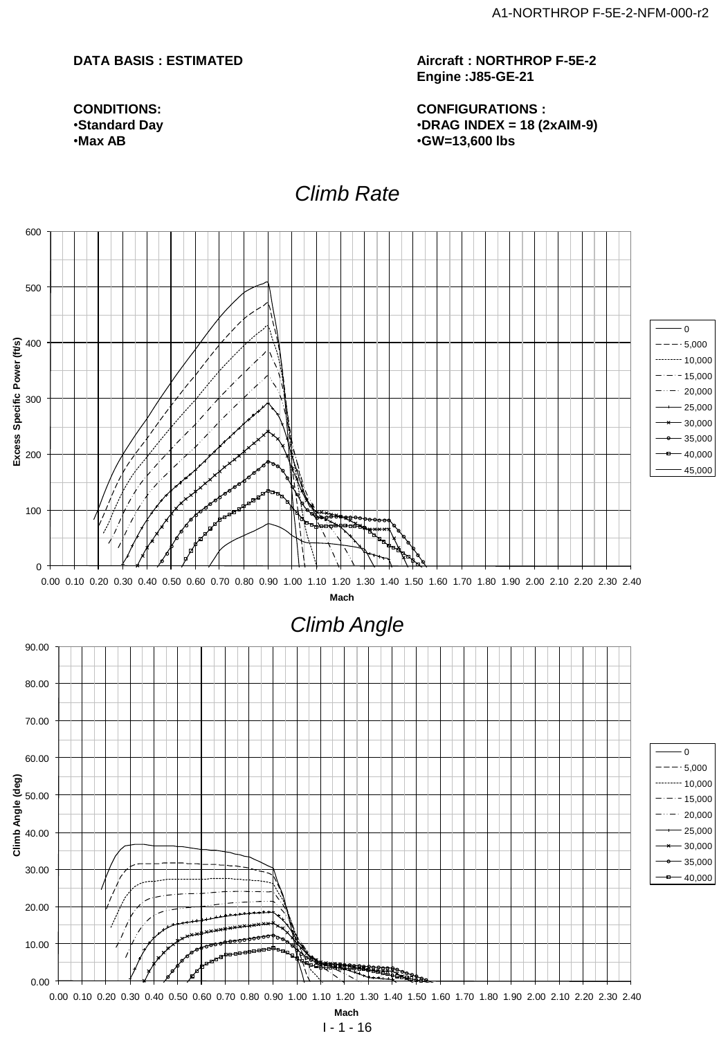#### **DATA BASIS : ESTIMATED**

**CONDITIONS:** •**Standard Day** •**Max AB**

**Aircraft : NORTHROP F-5E-2 Engine :J85-GE-21**

**CONFIGURATIONS :** •**DRAG INDEX = 18 (2xAIM-9)** •**GW=13,600 lbs**

## **Climb Rate**

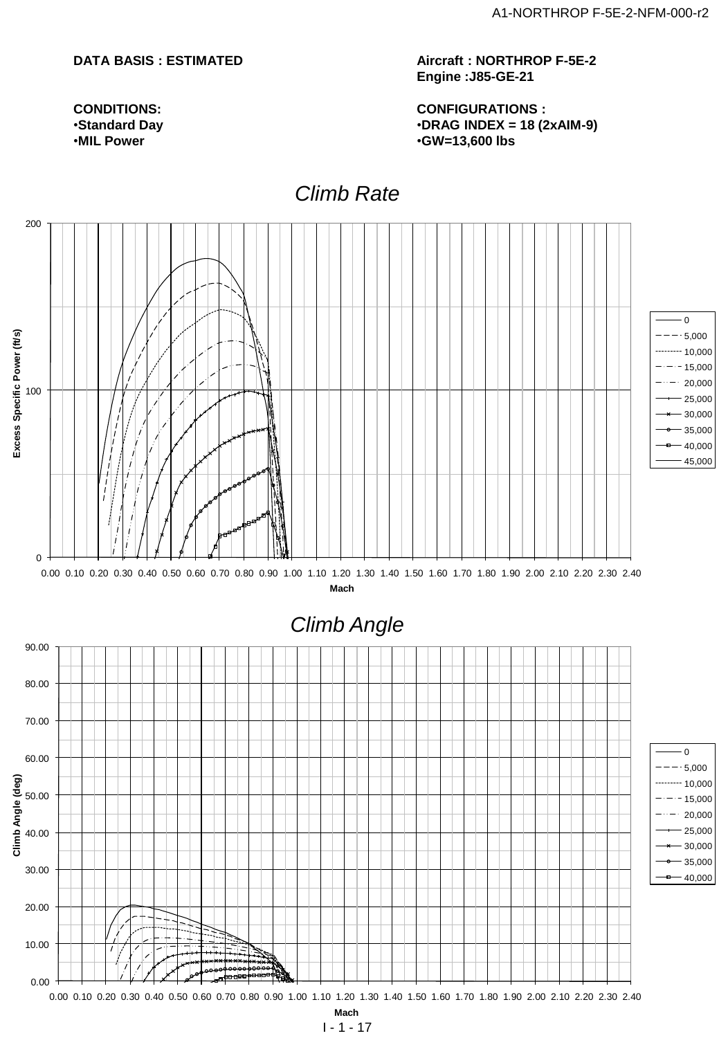#### **DATA BASIS : ESTIMATED**

**CONDITIONS:** •**Standard Day** •**MIL Power**

**Aircraft : NORTHROP F-5E-2 Engine :J85-GE-21**

**CONFIGURATIONS :** •**DRAG INDEX = 18 (2xAIM-9)** •**GW=13,600 lbs**

## **Climb Rate**



**Mach**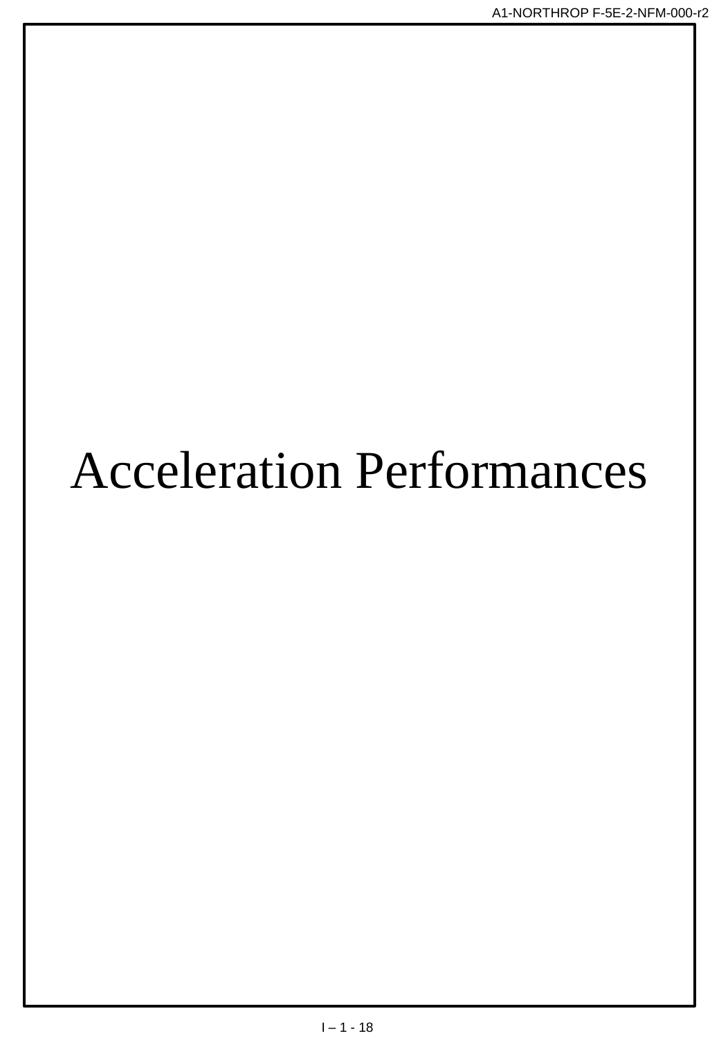## **Acceleration Performances**